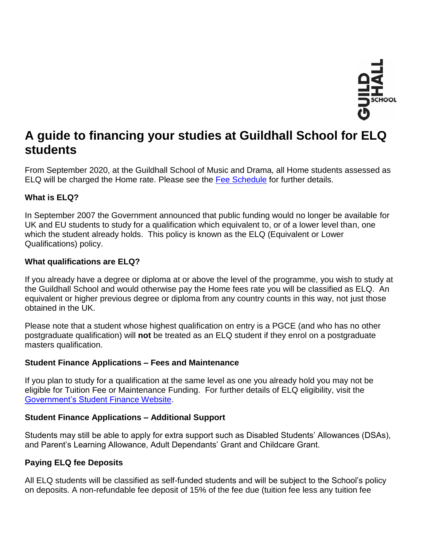

# **A guide to financing your studies at Guildhall School for ELQ students**

From September 2020, at the Guildhall School of Music and Drama, all Home students assessed as ELQ will be charged the Home rate. Please see the [Fee Schedule](https://www.gsmd.ac.uk/fileadmin/user_upload/files/Fees_and_Funding/Fee_Schedule_for_2022-23.pdf) for further details.

## **What is ELQ?**

In September 2007 the Government announced that public funding would no longer be available for UK and EU students to study for a qualification which equivalent to, or of a lower level than, one which the student already holds. This policy is known as the ELQ (Equivalent or Lower Qualifications) policy.

## **What qualifications are ELQ?**

If you already have a degree or diploma at or above the level of the programme, you wish to study at the Guildhall School and would otherwise pay the Home fees rate you will be classified as ELQ. An equivalent or higher previous degree or diploma from any country counts in this way, not just those obtained in the UK.

Please note that a student whose highest qualification on entry is a PGCE (and who has no other postgraduate qualification) will **not** be treated as an ELQ student if they enrol on a postgraduate masters qualification.

## **Student Finance Applications – Fees and Maintenance**

If you plan to study for a qualification at the same level as one you already hold you may not be eligible for Tuition Fee or Maintenance Funding. For further details of ELQ eligibility, visit the [Government's Student Finance Website.](https://www.gov.uk/browse/education/student-finance)

## **Student Finance Applications – Additional Support**

Students may still be able to apply for extra support such as Disabled Students' Allowances (DSAs), and Parent's Learning Allowance, Adult Dependants' Grant and Childcare Grant.

## **Paying ELQ fee Deposits**

All ELQ students will be classified as self-funded students and will be subject to the School's policy on deposits. A non-refundable fee deposit of 15% of the fee due (tuition fee less any tuition fee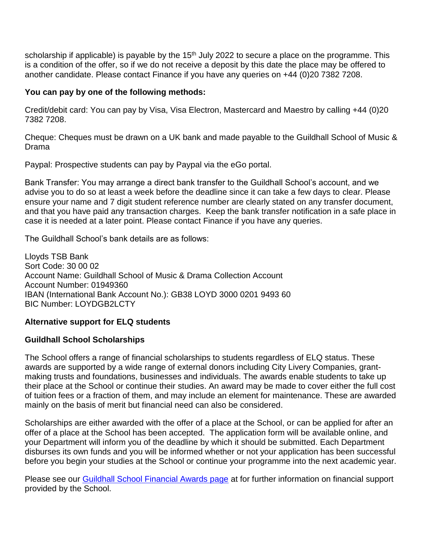scholarship if applicable) is payable by the 15<sup>th</sup> July 2022 to secure a place on the programme. This is a condition of the offer, so if we do not receive a deposit by this date the place may be offered to another candidate. Please contact Finance if you have any queries on +44 (0)20 7382 7208.

#### **You can pay by one of the following methods:**

Credit/debit card: You can pay by Visa, Visa Electron, Mastercard and Maestro by calling +44 (0)20 7382 7208.

Cheque: Cheques must be drawn on a UK bank and made payable to the Guildhall School of Music & Drama

Paypal: Prospective students can pay by Paypal via the eGo portal.

Bank Transfer: You may arrange a direct bank transfer to the Guildhall School's account, and we advise you to do so at least a week before the deadline since it can take a few days to clear. Please ensure your name and 7 digit student reference number are clearly stated on any transfer document, and that you have paid any transaction charges. Keep the bank transfer notification in a safe place in case it is needed at a later point. Please contact Finance if you have any queries.

The Guildhall School's bank details are as follows:

Lloyds TSB Bank Sort Code: 30 00 02 Account Name: Guildhall School of Music & Drama Collection Account Account Number: 01949360 IBAN (International Bank Account No.): GB38 LOYD 3000 0201 9493 60 BIC Number: LOYDGB2LCTY

## **Alternative support for ELQ students**

## **Guildhall School Scholarships**

The School offers a range of financial scholarships to students regardless of ELQ status. These awards are supported by a wide range of external donors including City Livery Companies, grantmaking trusts and foundations, businesses and individuals. The awards enable students to take up their place at the School or continue their studies. An award may be made to cover either the full cost of tuition fees or a fraction of them, and may include an element for maintenance. These are awarded mainly on the basis of merit but financial need can also be considered.

Scholarships are either awarded with the offer of a place at the School, or can be applied for after an offer of a place at the School has been accepted. The application form will be available online, and your Department will inform you of the deadline by which it should be submitted. Each Department disburses its own funds and you will be informed whether or not your application has been successful before you begin your studies at the School or continue your programme into the next academic year.

Please see our [Guildhall School Financial Awards page](https://www.gsmd.ac.uk/about_the_school/shared_left_nav/fees_and_funding/guildhall_school_financial_awards/) at for further information on financial support provided by the School.